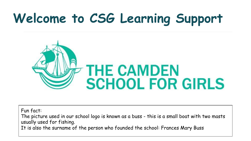## **Welcome to CSG Learning Support**



Fun fact:

The picture used in our school logo is known as a buss - this is a small boat with two masts usually used for fishing.

It is also the surname of the person who founded the school: Frances Mary Buss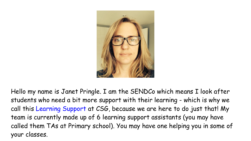

Hello my name is Janet Pringle. I am the SENDCo which means I look after students who need a bit more support with their learning - which is why we call this Learning Support at CSG, because we are here to do just that! My team is currently made up of 6 learning support assistants (you may have called them TAs at Primary school). You may have one helping you in some of your classes.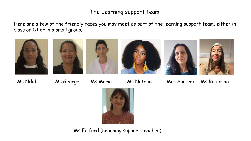## The Learning support team

Here are a few of the friendly faces you may meet as part of the learning support team, either in class or 1:1 or in a small group.











Ms Ndidi Ms George Ms Maria Ms Natalie Mrs Sandhu Ms Robinson



Ms Fulford (Learning support teacher)